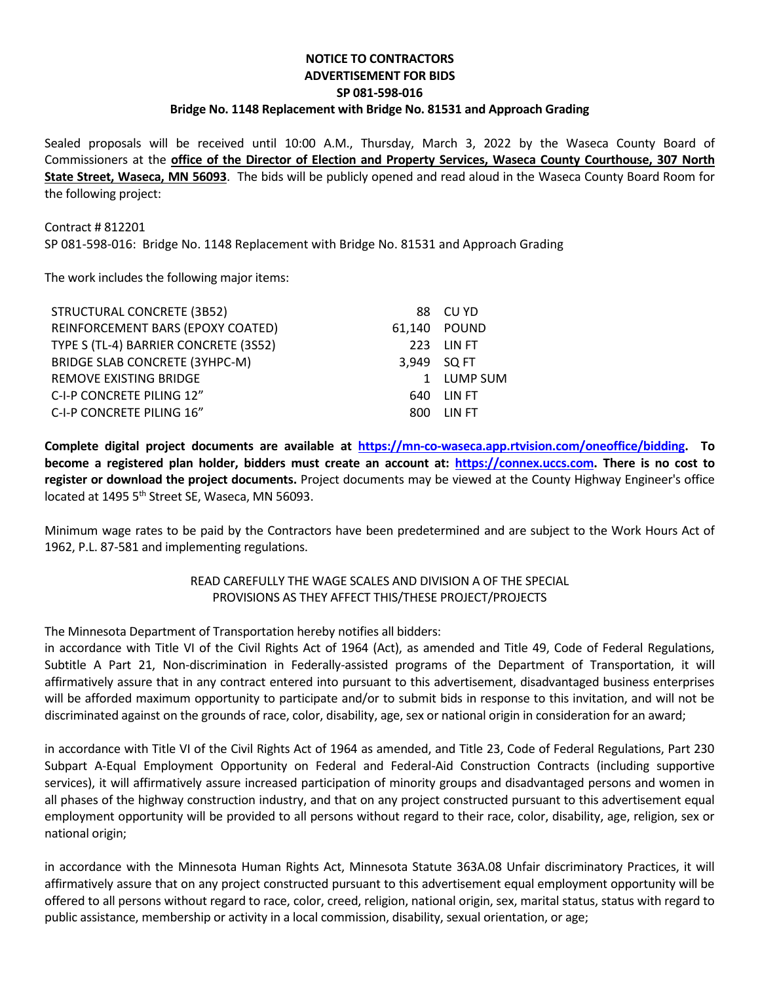## **NOTICE TO CONTRACTORS ADVERTISEMENT FOR BIDS SP 081-598-016 Bridge No. 1148 Replacement with Bridge No. 81531 and Approach Grading**

Sealed proposals will be received until 10:00 A.M., Thursday, March 3, 2022 by the Waseca County Board of Commissioners at the **office of the Director of Election and Property Services, Waseca County Courthouse, 307 North State Street, Waseca, MN 56093**. The bids will be publicly opened and read aloud in the Waseca County Board Room for the following project:

## Contract # 812201

SP 081-598-016: Bridge No. 1148 Replacement with Bridge No. 81531 and Approach Grading

The work includes the following major items:

| STRUCTURAL CONCRETE (3B52)            |             | 88 CU YD     |
|---------------------------------------|-------------|--------------|
| REINFORCEMENT BARS (EPOXY COATED)     |             | 61.140 POUND |
| TYPE S (TL-4) BARRIER CONCRETE (3S52) |             | 223 LIN FT   |
| BRIDGE SLAB CONCRETE (3YHPC-M)        | 3.949 SQ FT |              |
| REMOVE EXISTING BRIDGE                |             | 1 LUMP SUM   |
| C-I-P CONCRETE PILING 12"             |             | 640 LIN FT   |
| C-I-P CONCRETE PILING 16"             | 800         | LIN FT       |

**Complete digital project documents are available at [https://mn-co-waseca.app.rtvision.com/oneoffice/bidding.](https://mn-co-waseca.app.rtvision.com/oneoffice/bidding) To become a registered plan holder, bidders must create an account at: [https://connex.uccs.com.](https://connex.uccs.com/) There is no cost to register or download the project documents.** Project documents may be viewed at the County Highway Engineer's office located at 1495 5<sup>th</sup> Street SE, Waseca, MN 56093.

Minimum wage rates to be paid by the Contractors have been predetermined and are subject to the Work Hours Act of 1962, P.L. 87-581 and implementing regulations.

## READ CAREFULLY THE WAGE SCALES AND DIVISION A OF THE SPECIAL PROVISIONS AS THEY AFFECT THIS/THESE PROJECT/PROJECTS

The Minnesota Department of Transportation hereby notifies all bidders:

in accordance with Title VI of the Civil Rights Act of 1964 (Act), as amended and Title 49, Code of Federal Regulations, Subtitle A Part 21, Non-discrimination in Federally-assisted programs of the Department of Transportation, it will affirmatively assure that in any contract entered into pursuant to this advertisement, disadvantaged business enterprises will be afforded maximum opportunity to participate and/or to submit bids in response to this invitation, and will not be discriminated against on the grounds of race, color, disability, age, sex or national origin in consideration for an award;

in accordance with Title VI of the Civil Rights Act of 1964 as amended, and Title 23, Code of Federal Regulations, Part 230 Subpart A-Equal Employment Opportunity on Federal and Federal-Aid Construction Contracts (including supportive services), it will affirmatively assure increased participation of minority groups and disadvantaged persons and women in all phases of the highway construction industry, and that on any project constructed pursuant to this advertisement equal employment opportunity will be provided to all persons without regard to their race, color, disability, age, religion, sex or national origin;

in accordance with the Minnesota Human Rights Act, Minnesota Statute 363A.08 Unfair discriminatory Practices, it will affirmatively assure that on any project constructed pursuant to this advertisement equal employment opportunity will be offered to all persons without regard to race, color, creed, religion, national origin, sex, marital status, status with regard to public assistance, membership or activity in a local commission, disability, sexual orientation, or age;